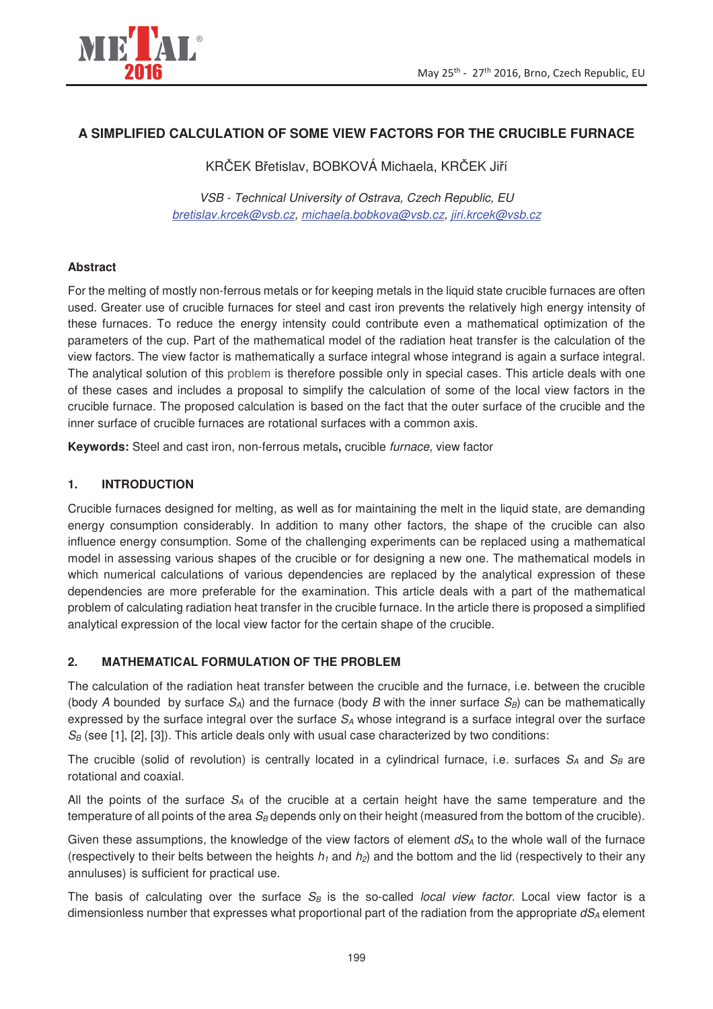

# **A SIMPLIFIED CALCULATION OF SOME VIEW FACTORS FOR THE CRUCIBLE FURNACE**

KRČEK Břetislav, BOBKOVÁ Michaela, KRČEK Jiří

VSB - Technical University of Ostrava, Czech Republic, EU bretislav.krcek@vsb.cz, michaela.bobkova@vsb.cz, jiri.krcek@vsb.cz

## **Abstract**

For the melting of mostly non-ferrous metals or for keeping metals in the liquid state crucible furnaces are often used. Greater use of crucible furnaces for steel and cast iron prevents the relatively high energy intensity of these furnaces. To reduce the energy intensity could contribute even a mathematical optimization of the parameters of the cup. Part of the mathematical model of the radiation heat transfer is the calculation of the view factors. The view factor is mathematically a surface integral whose integrand is again a surface integral. The analytical solution of this problem is therefore possible only in special cases. This article deals with one of these cases and includes a proposal to simplify the calculation of some of the local view factors in the crucible furnace. The proposed calculation is based on the fact that the outer surface of the crucible and the inner surface of crucible furnaces are rotational surfaces with a common axis.

**Keywords:** Steel and cast iron, non-ferrous metals**,** crucible furnace, view factor

## **1. INTRODUCTION**

Crucible furnaces designed for melting, as well as for maintaining the melt in the liquid state, are demanding energy consumption considerably. In addition to many other factors, the shape of the crucible can also influence energy consumption. Some of the challenging experiments can be replaced using a mathematical model in assessing various shapes of the crucible or for designing a new one. The mathematical models in which numerical calculations of various dependencies are replaced by the analytical expression of these dependencies are more preferable for the examination. This article deals with a part of the mathematical problem of calculating radiation heat transfer in the crucible furnace. In the article there is proposed a simplified analytical expression of the local view factor for the certain shape of the crucible.

#### **2. MATHEMATICAL FORMULATION OF THE PROBLEM**

The calculation of the radiation heat transfer between the crucible and the furnace, i.e. between the crucible (body A bounded by surface  $S_A$ ) and the furnace (body B with the inner surface  $S_B$ ) can be mathematically expressed by the surface integral over the surface  $S<sub>A</sub>$  whose integrand is a surface integral over the surface  $S_B$  (see [1], [2], [3]). This article deals only with usual case characterized by two conditions:

The crucible (solid of revolution) is centrally located in a cylindrical furnace, i.e. surfaces  $S_A$  and  $S_B$  are rotational and coaxial.

All the points of the surface  $S_A$  of the crucible at a certain height have the same temperature and the temperature of all points of the area  $S_B$  depends only on their height (measured from the bottom of the crucible).

Given these assumptions, the knowledge of the view factors of element  $dS_A$  to the whole wall of the furnace (respectively to their belts between the heights  $h_1$  and  $h_2$ ) and the bottom and the lid (respectively to their any annuluses) is sufficient for practical use.

The basis of calculating over the surface  $S_B$  is the so-called local view factor. Local view factor is a dimensionless number that expresses what proportional part of the radiation from the appropriate  $dS_A$  element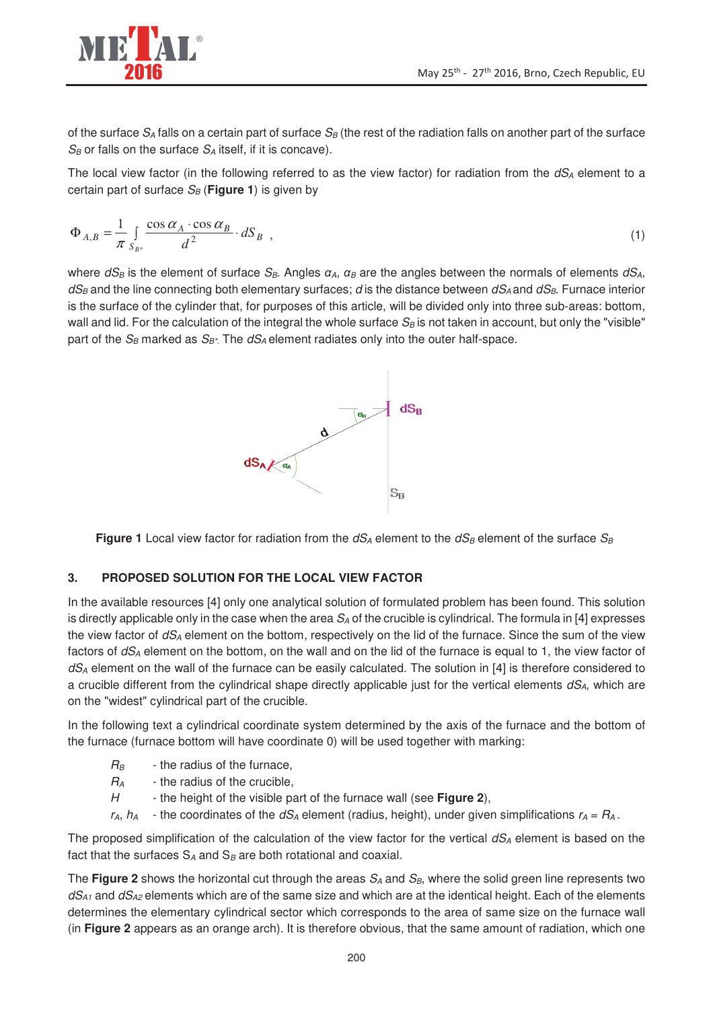of the surface  $S_A$  falls on a certain part of surface  $S_B$  (the rest of the radiation falls on another part of the surface  $S_B$  or falls on the surface  $S_A$  itself, if it is concave).

The local view factor (in the following referred to as the view factor) for radiation from the  $dS_A$  element to a certain part of surface  $S_B$  (**Figure 1**) is given by

$$
\Phi_{A,B} = \frac{1}{\pi} \int_{S_{B^*}} \frac{\cos \alpha_A \cdot \cos \alpha_B}{d^2} \cdot dS_B \quad , \tag{1}
$$

where  $dS_B$  is the element of surface  $S_B$ . Angles  $\alpha_A$ ,  $\alpha_B$  are the angles between the normals of elements  $dS_A$ ,  $dS_B$  and the line connecting both elementary surfaces; d is the distance between  $dS_A$  and  $dS_B$ . Furnace interior is the surface of the cylinder that, for purposes of this article, will be divided only into three sub-areas: bottom, wall and lid. For the calculation of the integral the whole surface  $S_B$  is not taken in account, but only the "visible" part of the  $S_B$  marked as  $S_{B^*}$ . The  $dS_A$  element radiates only into the outer half-space.



**Figure 1** Local view factor for radiation from the  $dS_A$  element to the  $dS_B$  element of the surface  $S_B$ 

## **3. PROPOSED SOLUTION FOR THE LOCAL VIEW FACTOR**

In the available resources [4] only one analytical solution of formulated problem has been found. This solution is directly applicable only in the case when the area  $S_A$  of the crucible is cylindrical. The formula in [4] expresses the view factor of  $dS_A$  element on the bottom, respectively on the lid of the furnace. Since the sum of the view factors of  $dS_A$  element on the bottom, on the wall and on the lid of the furnace is equal to 1, the view factor of  $dS_A$  element on the wall of the furnace can be easily calculated. The solution in [4] is therefore considered to a crucible different from the cylindrical shape directly applicable just for the vertical elements  $dS_A$ , which are on the "widest" cylindrical part of the crucible.

In the following text a cylindrical coordinate system determined by the axis of the furnace and the bottom of the furnace (furnace bottom will have coordinate 0) will be used together with marking:

- $R_B$  the radius of the furnace,
- $R_A$  the radius of the crucible,
- H the height of the visible part of the furnace wall (see **Figure 2**),
- $r_A$ ,  $h_A$  the coordinates of the  $dS_A$  element (radius, height), under given simplifications  $r_A = R_A$ .

The proposed simplification of the calculation of the view factor for the vertical  $dS_A$  element is based on the fact that the surfaces  $S_A$  and  $S_B$  are both rotational and coaxial.

The **Figure 2** shows the horizontal cut through the areas  $S_A$  and  $S_B$ , where the solid green line represents two  $dS<sub>A1</sub>$  and  $dS<sub>A2</sub>$  elements which are of the same size and which are at the identical height. Each of the elements determines the elementary cylindrical sector which corresponds to the area of same size on the furnace wall (in **Figure 2** appears as an orange arch). It is therefore obvious, that the same amount of radiation, which one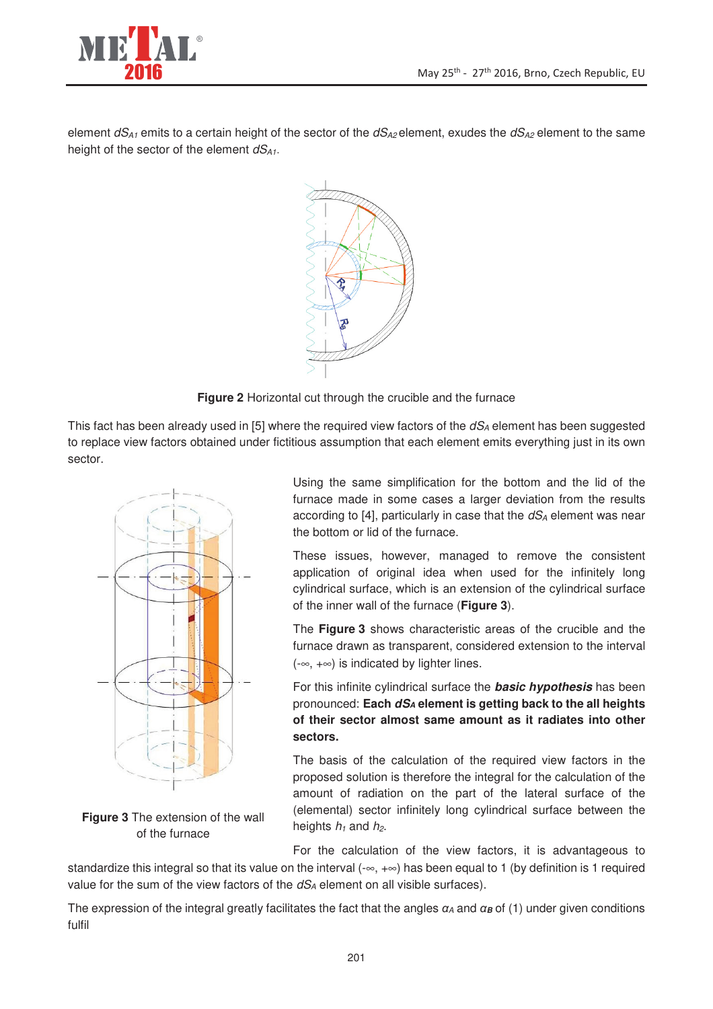

element  $dS_{A1}$  emits to a certain height of the sector of the  $dS_{A2}$  element, exudes the  $dS_{A2}$  element to the same height of the sector of the element  $dS_{A1}$ .





This fact has been already used in [5] where the required view factors of the  $dS_A$  element has been suggested to replace view factors obtained under fictitious assumption that each element emits everything just in its own sector.



**Figure 3** The extension of the wall of the furnace

Using the same simplification for the bottom and the lid of the furnace made in some cases a larger deviation from the results according to [4], particularly in case that the  $dS_A$  element was near the bottom or lid of the furnace.

These issues, however, managed to remove the consistent application of original idea when used for the infinitely long cylindrical surface, which is an extension of the cylindrical surface of the inner wall of the furnace (**Figure 3**).

The **Figure 3** shows characteristic areas of the crucible and the furnace drawn as transparent, considered extension to the interval (-∞, +∞) is indicated by lighter lines.

For this infinite cylindrical surface the **basic hypothesis** has been pronounced: **Each dSA element is getting back to the all heights of their sector almost same amount as it radiates into other sectors.**

The basis of the calculation of the required view factors in the proposed solution is therefore the integral for the calculation of the amount of radiation on the part of the lateral surface of the (elemental) sector infinitely long cylindrical surface between the heights  $h_1$  and  $h_2$ .

For the calculation of the view factors, it is advantageous to standardize this integral so that its value on the interval  $(-\infty, +\infty)$  has been equal to 1 (by definition is 1 required value for the sum of the view factors of the  $dS_A$  element on all visible surfaces).

The expression of the integral greatly facilitates the fact that the angles  $\alpha_A$  and  $\alpha_B$  of (1) under given conditions fulfil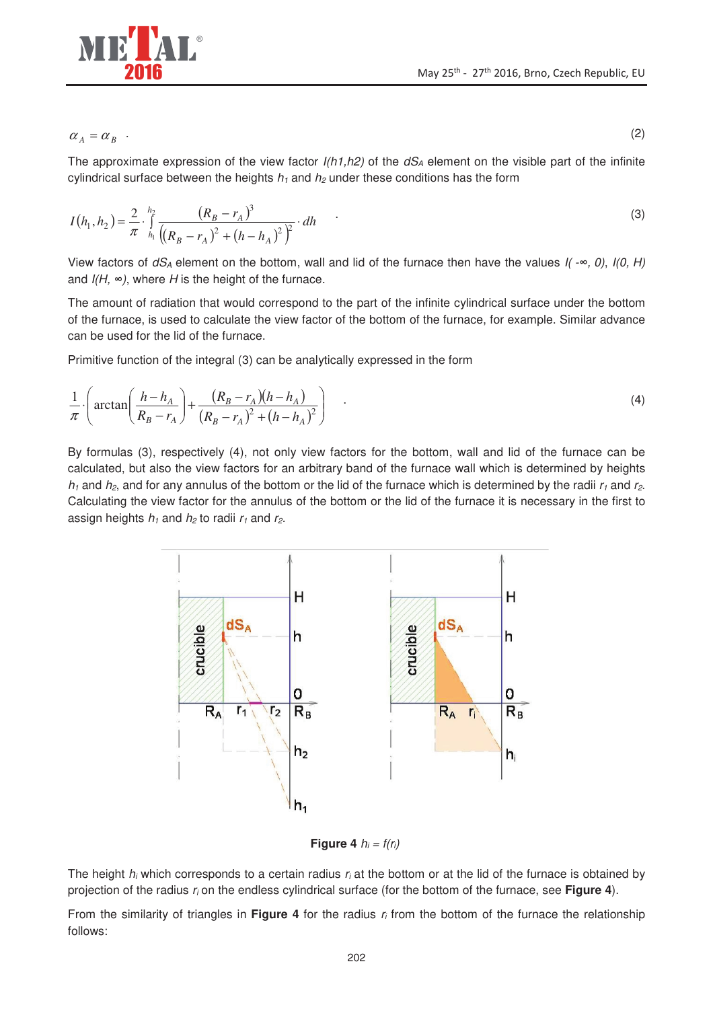

 $\alpha_A = \alpha_B$ .

The approximate expression of the view factor  $I(h1,h2)$  of the  $dS<sub>A</sub>$  element on the visible part of the infinite cylindrical surface between the heights  $h_1$  and  $h_2$  under these conditions has the form

$$
I(h_1, h_2) = \frac{2}{\pi} \int_{h_1}^{h_2} \frac{(R_B - r_A)^3}{((R_B - r_A)^2 + (h - h_A)^2)^2} \, dm \tag{3}
$$

View factors of  $dS_A$  element on the bottom, wall and lid of the furnace then have the values  $I(-\infty, 0)$ ,  $I(0, H)$ and  $I(H, \infty)$ , where H is the height of the furnace.

The amount of radiation that would correspond to the part of the infinite cylindrical surface under the bottom of the furnace, is used to calculate the view factor of the bottom of the furnace, for example. Similar advance can be used for the lid of the furnace.

Primitive function of the integral (3) can be analytically expressed in the form

$$
\frac{1}{\pi} \cdot \left( \arctan\left(\frac{h - h_A}{R_B - r_A}\right) + \frac{(R_B - r_A)(h - h_A)}{(R_B - r_A)^2 + (h - h_A)^2} \right) \tag{4}
$$

By formulas (3), respectively (4), not only view factors for the bottom, wall and lid of the furnace can be calculated, but also the view factors for an arbitrary band of the furnace wall which is determined by heights  $h_1$  and  $h_2$ , and for any annulus of the bottom or the lid of the furnace which is determined by the radii  $r_1$  and  $r_2$ . Calculating the view factor for the annulus of the bottom or the lid of the furnace it is necessary in the first to assign heights  $h_1$  and  $h_2$  to radii  $r_1$  and  $r_2$ .



**Figure 4**  $h_i = f(r_i)$ 

The height  $h_i$  which corresponds to a certain radius  $r_i$  at the bottom or at the lid of the furnace is obtained by projection of the radius r<sub>i</sub> on the endless cylindrical surface (for the bottom of the furnace, see **Figure 4**).

From the similarity of triangles in **Figure 4** for the radius r<sub>i</sub> from the bottom of the furnace the relationship follows:

.  $(2)$